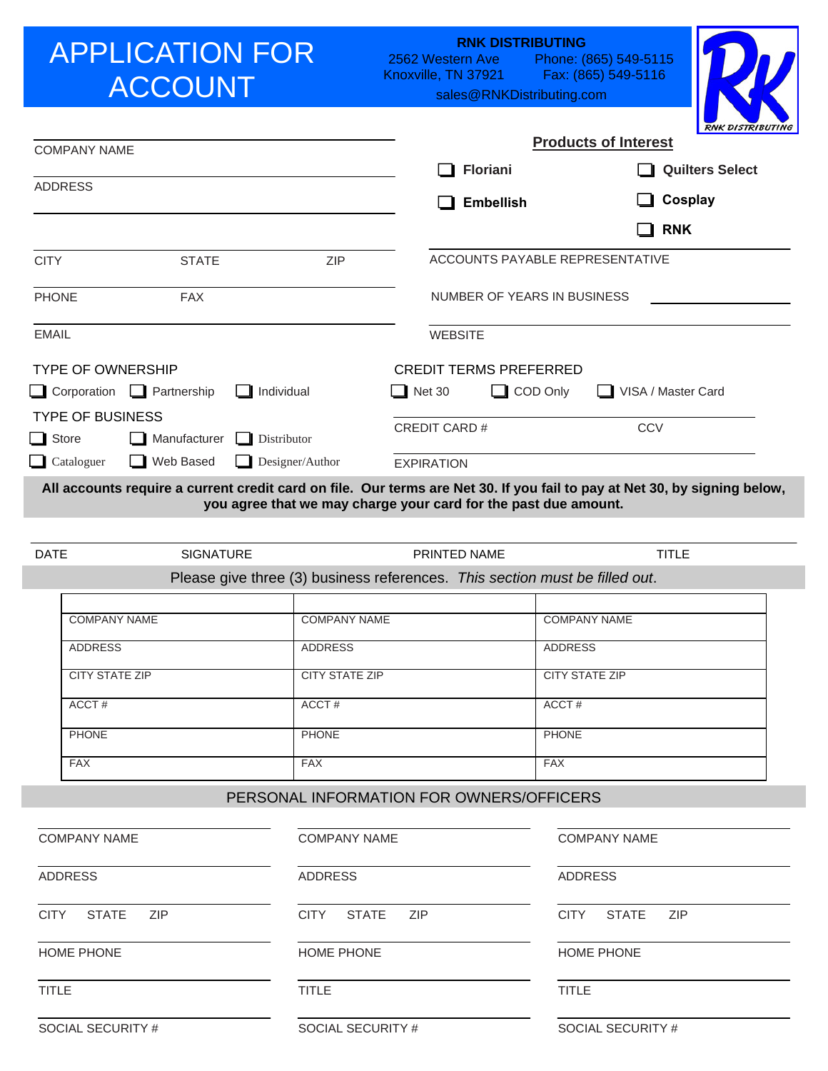# APPLICATION FOR ACCOUNT

2562 Western Ave Knoxville, TN 37921 Phone: (865) 549-5115 Fax: (865) 549-5116 **RNK DISTRIBUTING** 

sales@RNKDistributing.com



|                                           |                                  |                             |                                                                             | <b>RNK DISTRIBUTING</b>                                                                                                   |
|-------------------------------------------|----------------------------------|-----------------------------|-----------------------------------------------------------------------------|---------------------------------------------------------------------------------------------------------------------------|
| <b>COMPANY NAME</b>                       |                                  |                             |                                                                             | <b>Products of Interest</b>                                                                                               |
| <b>ADDRESS</b>                            |                                  |                             | <b>Floriani</b>                                                             | <b>Quilters Select</b>                                                                                                    |
|                                           |                                  |                             | <b>Embellish</b>                                                            | Cosplay                                                                                                                   |
|                                           |                                  |                             |                                                                             | <b>RNK</b>                                                                                                                |
| <b>CITY</b>                               | <b>STATE</b>                     | ZIP                         |                                                                             | ACCOUNTS PAYABLE REPRESENTATIVE                                                                                           |
| <b>PHONE</b>                              | <b>FAX</b>                       |                             | NUMBER OF YEARS IN BUSINESS                                                 |                                                                                                                           |
| <b>EMAIL</b>                              |                                  |                             | <b>WEBSITE</b>                                                              |                                                                                                                           |
| <b>TYPE OF OWNERSHIP</b>                  |                                  |                             | <b>CREDIT TERMS PREFERRED</b>                                               |                                                                                                                           |
|                                           | Corporation <b>C</b> Partnership | Individual                  | <b>Net 30</b>                                                               | COD Only<br>VISA / Master Card                                                                                            |
| <b>TYPE OF BUSINESS</b><br>$\Box$ Store   | Manufacturer                     | Distributor                 | <b>CREDIT CARD#</b>                                                         | <b>CCV</b>                                                                                                                |
| $\Box$ Cataloguer                         | Web Based                        | Designer/Author             | <b>EXPIRATION</b>                                                           |                                                                                                                           |
|                                           |                                  |                             | you agree that we may charge your card for the past due amount.             | All accounts require a current credit card on file. Our terms are Net 30. If you fail to pay at Net 30, by signing below, |
| <b>DATE</b>                               | <b>SIGNATURE</b>                 |                             | <b>PRINTED NAME</b>                                                         | <b>TITLE</b>                                                                                                              |
|                                           |                                  |                             | Please give three (3) business references. This section must be filled out. |                                                                                                                           |
|                                           | <b>COMPANY NAME</b>              | <b>COMPANY NAME</b>         |                                                                             | <b>COMPANY NAME</b>                                                                                                       |
| <b>ADDRESS</b>                            |                                  | <b>ADDRESS</b>              |                                                                             | <b>ADDRESS</b>                                                                                                            |
| <b>CITY STATE ZIP</b>                     |                                  | <b>CITY STATE ZIP</b>       |                                                                             | <b>CITY STATE ZIP</b>                                                                                                     |
| ACCT#                                     |                                  | ACCT#                       |                                                                             | ACCT#                                                                                                                     |
| <b>PHONE</b>                              |                                  | <b>PHONE</b>                |                                                                             | <b>PHONE</b>                                                                                                              |
| <b>FAX</b>                                |                                  | <b>FAX</b>                  |                                                                             | <b>FAX</b>                                                                                                                |
|                                           |                                  |                             | PERSONAL INFORMATION FOR OWNERS/OFFICERS                                    |                                                                                                                           |
|                                           |                                  |                             |                                                                             |                                                                                                                           |
| <b>COMPANY NAME</b>                       |                                  | <b>COMPANY NAME</b>         |                                                                             | <b>COMPANY NAME</b>                                                                                                       |
| <b>ADDRESS</b>                            |                                  | <b>ADDRESS</b>              |                                                                             | <b>ADDRESS</b>                                                                                                            |
| <b>STATE</b><br><b>ZIP</b><br><b>CITY</b> |                                  | <b>STATE</b><br><b>CITY</b> | <b>ZIP</b>                                                                  | <b>CITY</b><br><b>STATE</b><br><b>ZIP</b>                                                                                 |
| HOME PHONE<br>HOME PHONE                  |                                  |                             | HOME PHONE                                                                  |                                                                                                                           |

TITLE

SOCIAL SECURITY #

TITLE

SOCIAL SECURITY #

SOCIAL SECURITY #

TITLE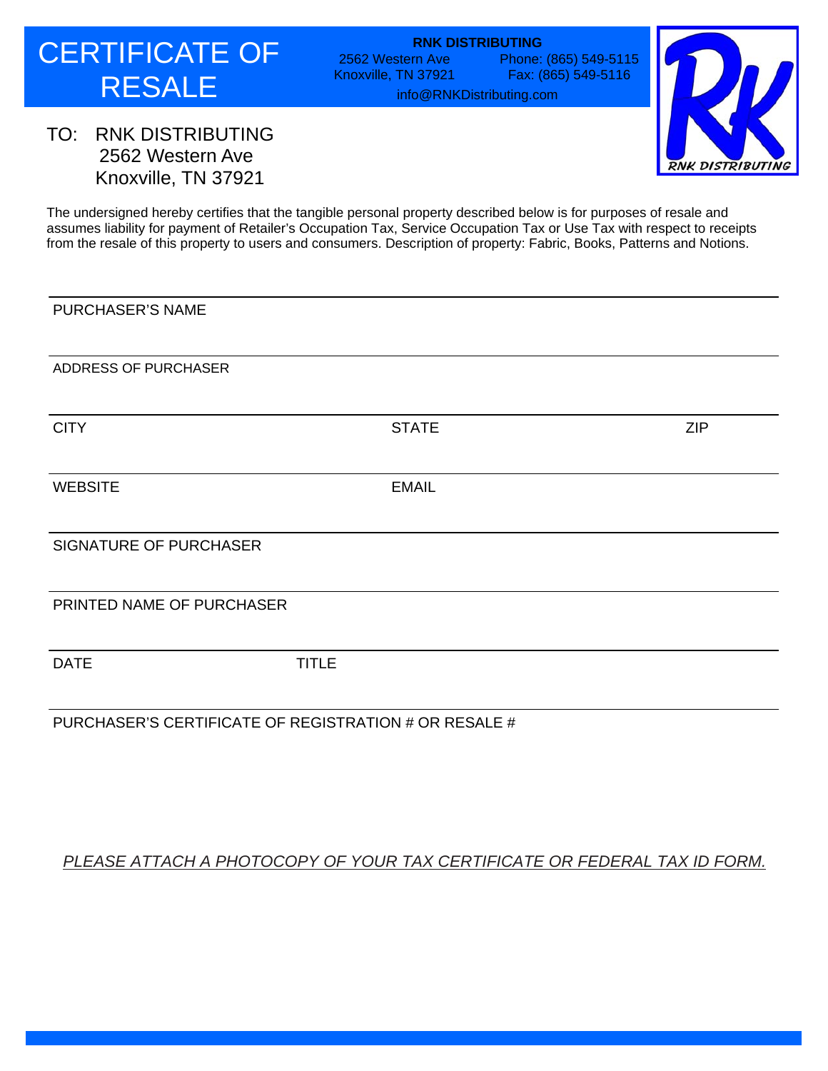2562 Western Ave Knoxville, TN 37921 Phone: (865) 549-5115 Fax: (865) 549-5116 **RNK DISTRIBUTING** 

info@RNKDistributing.com



## TO: RNK DISTRIBUTING 2562 Western Ave Knoxville, TN 37921

The undersigned hereby certifies that the tangible personal property described below is for purposes of resale and assumes liability for payment of Retailer's Occupation Tax, Service Occupation Tax or Use Tax with respect to receipts from the resale of this property to users and consumers. Description of property: Fabric, Books, Patterns and Notions.

PURCHASER'S NAME ADDRESS OF PURCHASER CITY EXAMPLE STATE STATE STATE STATE STATE STATE STATE STATE STATE SUPPORTS AND THE STATE STATE STATE STATE STATE SIGNATURE OF PURCHASER PRINTED NAME OF PURCHASER DATE TITLE PURCHASER'S CERTIFICATE OF REGISTRATION # OR RESALE # WEBSITE EMAIL

#### *PLEASE ATTACH A PHOTOCOPY OF YOUR TAX CERTIFICATE OR FEDERAL TAX ID FORM.*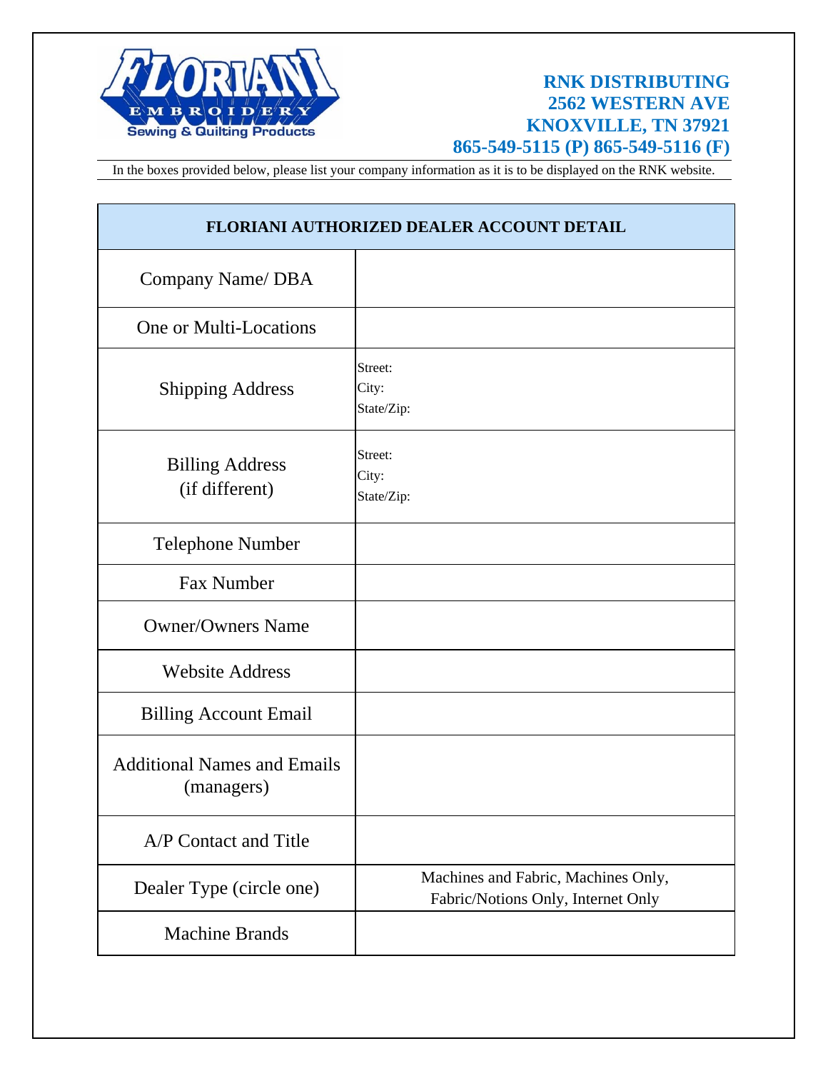

## **RNK DISTRIBUTING 2562 WESTERN AVE KNOXVILLE, TN 37921 865-549-5115 (P) 865-549-5116 (F)**

In the boxes provided below, please list your company information as it is to be displayed on the RNK website.

| FLORIANI AUTHORIZED DEALER ACCOUNT DETAIL        |                                                                           |  |  |  |
|--------------------------------------------------|---------------------------------------------------------------------------|--|--|--|
| Company Name/ DBA                                |                                                                           |  |  |  |
| One or Multi-Locations                           |                                                                           |  |  |  |
| <b>Shipping Address</b>                          | Street:<br>City:<br>State/Zip:                                            |  |  |  |
| <b>Billing Address</b><br>(if different)         | Street:<br>City:<br>State/Zip:                                            |  |  |  |
| <b>Telephone Number</b>                          |                                                                           |  |  |  |
| <b>Fax Number</b>                                |                                                                           |  |  |  |
| <b>Owner/Owners Name</b>                         |                                                                           |  |  |  |
| <b>Website Address</b>                           |                                                                           |  |  |  |
| <b>Billing Account Email</b>                     |                                                                           |  |  |  |
| <b>Additional Names and Emails</b><br>(managers) |                                                                           |  |  |  |
| A/P Contact and Title                            |                                                                           |  |  |  |
| Dealer Type (circle one)                         | Machines and Fabric, Machines Only,<br>Fabric/Notions Only, Internet Only |  |  |  |
| <b>Machine Brands</b>                            |                                                                           |  |  |  |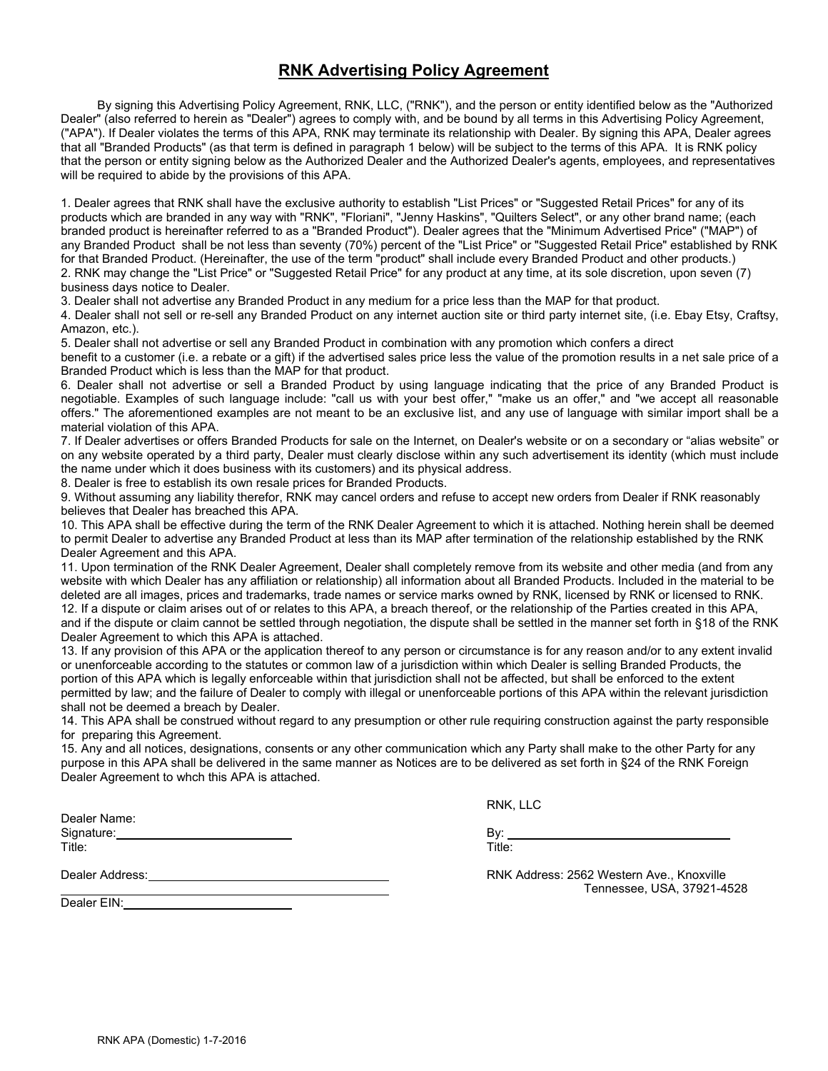#### **RNK Advertising Policy Agreement**

By signing this Advertising Policy Agreement, RNK, LLC, ("RNK"), and the person or entity identified below as the "Authorized Dealer" (also referred to herein as "Dealer") agrees to comply with, and be bound by all terms in this Advertising Policy Agreement, ("APA"). If Dealer violates the terms of this APA, RNK may terminate its relationship with Dealer. By signing this APA, Dealer agrees that all "Branded Products" (as that term is defined in paragraph 1 below) will be subject to the terms of this APA. It is RNK policy that the person or entity signing below as the Authorized Dealer and the Authorized Dealer's agents, employees, and representatives will be required to abide by the provisions of this APA.

1. Dealer agrees that RNK shall have the exclusive authority to establish "List Prices" or "Suggested Retail Prices" for any of its products which are branded in any way with "RNK", "Floriani", "Jenny Haskins", "Quilters Select", or any other brand name; (each branded product is hereinafter referred to as a "Branded Product"). Dealer agrees that the "Minimum Advertised Price" ("MAP") of any Branded Product shall be not less than seventy (70%) percent of the "List Price" or "Suggested Retail Price" established by RNK for that Branded Product. (Hereinafter, the use of the term "product" shall include every Branded Product and other products.) 2. RNK may change the "List Price" or "Suggested Retail Price" for any product at any time, at its sole discretion, upon seven (7) business days notice to Dealer.

3. Dealer shall not advertise any Branded Product in any medium for a price less than the MAP for that product.

4. Dealer shall not sell or re-sell any Branded Product on any internet auction site or third party internet site, (i.e. Ebay Etsy, Craftsy, Amazon, etc.).

5. Dealer shall not advertise or sell any Branded Product in combination with any promotion which confers a direct

benefit to a customer (i.e. a rebate or a gift) if the advertised sales price less the value of the promotion results in a net sale price of a Branded Product which is less than the MAP for that product.

6. Dealer shall not advertise or sell a Branded Product by using language indicating that the price of any Branded Product is negotiable. Examples of such language include: "call us with your best offer," "make us an offer," and "we accept all reasonable offers." The aforementioned examples are not meant to be an exclusive list, and any use of language with similar import shall be a material violation of this APA.

7. If Dealer advertises or offers Branded Products for sale on the Internet, on Dealer's website or on a secondary or "alias website" or on any website operated by a third party, Dealer must clearly disclose within any such advertisement its identity (which must include the name under which it does business with its customers) and its physical address.

8. Dealer is free to establish its own resale prices for Branded Products.

9. Without assuming any liability therefor, RNK may cancel orders and refuse to accept new orders from Dealer if RNK reasonably believes that Dealer has breached this APA.

10. This APA shall be effective during the term of the RNK Dealer Agreement to which it is attached. Nothing herein shall be deemed to permit Dealer to advertise any Branded Product at less than its MAP after termination of the relationship established by the RNK Dealer Agreement and this APA.

11. Upon termination of the RNK Dealer Agreement, Dealer shall completely remove from its website and other media (and from any website with which Dealer has any affiliation or relationship) all information about all Branded Products. Included in the material to be deleted are all images, prices and trademarks, trade names or service marks owned by RNK, licensed by RNK or licensed to RNK. 12. If a dispute or claim arises out of or relates to this APA, a breach thereof, or the relationship of the Parties created in this APA, and if the dispute or claim cannot be settled through negotiation, the dispute shall be settled in the manner set forth in §18 of the RNK Dealer Agreement to which this APA is attached.

13. If any provision of this APA or the application thereof to any person or circumstance is for any reason and/or to any extent invalid or unenforceable according to the statutes or common law of a jurisdiction within which Dealer is selling Branded Products, the portion of this APA which is legally enforceable within that jurisdiction shall not be affected, but shall be enforced to the extent permitted by law; and the failure of Dealer to comply with illegal or unenforceable portions of this APA within the relevant jurisdiction shall not be deemed a breach by Dealer.

14. This APA shall be construed without regard to any presumption or other rule requiring construction against the party responsible for preparing this Agreement.

15. Any and all notices, designations, consents or any other communication which any Party shall make to the other Party for any purpose in this APA shall be delivered in the same manner as Notices are to be delivered as set forth in §24 of the RNK Foreign Dealer Agreement to whch this APA is attached.

RNK, LLC

Dealer Name: Signature: By: Box 2014 and 2014 and 2014 and 2014 and 2014 and 2014 and 2014 and 2014 and 2014 and 2014 and 2014 and 2014 and 2014 and 2014 and 2014 and 2014 and 2014 and 2014 and 2014 and 2014 and 2014 and 2014 and 2014 Title: Title:

Dealer EIN:

Dealer Address: RNK Address: 2562 Western Ave., Knoxville Tennessee, USA, 37921-4528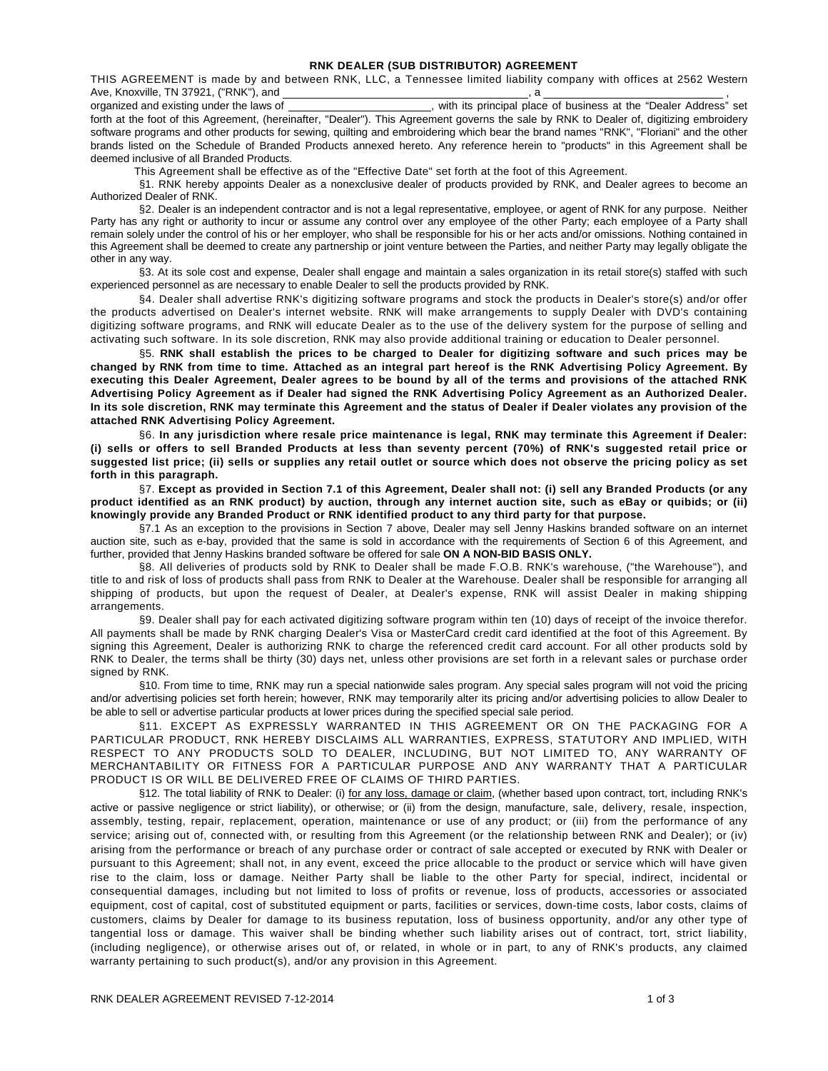THIS AGREEMENT is made by and between RNK, LLC, a Tennessee limited liability company with offices at 2562 Western Ave, Knoxville, TN 37921, ("RNK"), and , a ,

organized and existing under the laws of , with its principal place of business at the "Dealer Address" set forth at the foot of this Agreement, (hereinafter, "Dealer"). This Agreement governs the sale by RNK to Dealer of, digitizing embroidery software programs and other products for sewing, quilting and embroidering which bear the brand names "RNK", "Floriani" and the other brands listed on the Schedule of Branded Products annexed hereto. Any reference herein to "products" in this Agreement shall be deemed inclusive of all Branded Products.

This Agreement shall be effective as of the "Effective Date" set forth at the foot of this Agreement.

§1. RNK hereby appoints Dealer as a nonexclusive dealer of products provided by RNK, and Dealer agrees to become an Authorized Dealer of RNK.

§2. Dealer is an independent contractor and is not a legal representative, employee, or agent of RNK for any purpose. Neither Party has any right or authority to incur or assume any control over any employee of the other Party; each employee of a Party shall remain solely under the control of his or her employer, who shall be responsible for his or her acts and/or omissions. Nothing contained in this Agreement shall be deemed to create any partnership or joint venture between the Parties, and neither Party may legally obligate the other in any way.

§3. At its sole cost and expense, Dealer shall engage and maintain a sales organization in its retail store(s) staffed with such experienced personnel as are necessary to enable Dealer to sell the products provided by RNK.

§4. Dealer shall advertise RNK's digitizing software programs and stock the products in Dealer's store(s) and/or offer the products advertised on Dealer's internet website. RNK will make arrangements to supply Dealer with DVD's containing digitizing software programs, and RNK will educate Dealer as to the use of the delivery system for the purpose of selling and activating such software. In its sole discretion, RNK may also provide additional training or education to Dealer personnel.

§5. **RNK shall establish the prices to be charged to Dealer for digitizing software and such prices may be changed by RNK from time to time. Attached as an integral part hereof is the RNK Advertising Policy Agreement. By executing this Dealer Agreement, Dealer agrees to be bound by all of the terms and provisions of the attached RNK Advertising Policy Agreement as if Dealer had signed the RNK Advertising Policy Agreement as an Authorized Dealer. In its sole discretion, RNK may terminate this Agreement and the status of Dealer if Dealer violates any provision of the attached RNK Advertising Policy Agreement.** 

§6. **In any jurisdiction where resale price maintenance is legal, RNK may terminate this Agreement if Dealer: (i) sells or offers to sell Branded Products at less than seventy percent (70%) of RNK's suggested retail price or suggested list price; (ii) sells or supplies any retail outlet or source which does not observe the pricing policy as set forth in this paragraph.**

§7. **Except as provided in Section 7.1 of this Agreement, Dealer shall not: (i) sell any Branded Products (or any product identified as an RNK product) by auction, through any internet auction site, such as eBay or quibids; or (ii) knowingly provide any Branded Product or RNK identified product to any third party for that purpose.**

§7.1 As an exception to the provisions in Section 7 above, Dealer may sell Jenny Haskins branded software on an internet auction site, such as e-bay, provided that the same is sold in accordance with the requirements of Section 6 of this Agreement, and further, provided that Jenny Haskins branded software be offered for sale **ON A NON-BID BASIS ONLY.** 

§8. All deliveries of products sold by RNK to Dealer shall be made F.O.B. RNK's warehouse, ("the Warehouse"), and title to and risk of loss of products shall pass from RNK to Dealer at the Warehouse. Dealer shall be responsible for arranging all shipping of products, but upon the request of Dealer, at Dealer's expense, RNK will assist Dealer in making shipping arrangements.

§9. Dealer shall pay for each activated digitizing software program within ten (10) days of receipt of the invoice therefor. All payments shall be made by RNK charging Dealer's Visa or MasterCard credit card identified at the foot of this Agreement. By signing this Agreement, Dealer is authorizing RNK to charge the referenced credit card account. For all other products sold by RNK to Dealer, the terms shall be thirty (30) days net, unless other provisions are set forth in a relevant sales or purchase order signed by RNK.

§10. From time to time, RNK may run a special nationwide sales program. Any special sales program will not void the pricing and/or advertising policies set forth herein; however, RNK may temporarily alter its pricing and/or advertising policies to allow Dealer to be able to sell or advertise particular products at lower prices during the specified special sale period.

§11. EXCEPT AS EXPRESSLY WARRANTED IN THIS AGREEMENT OR ON THE PACKAGING FOR A PARTICULAR PRODUCT, RNK HEREBY DISCLAIMS ALL WARRANTIES, EXPRESS, STATUTORY AND IMPLIED, WITH RESPECT TO ANY PRODUCTS SOLD TO DEALER, INCLUDING, BUT NOT LIMITED TO, ANY WARRANTY OF MERCHANTABILITY OR FITNESS FOR A PARTICULAR PURPOSE AND ANY WARRANTY THAT A PARTICULAR PRODUCT IS OR WILL BE DELIVERED FREE OF CLAIMS OF THIRD PARTIES.

§12. The total liability of RNK to Dealer: (i) for any loss, damage or claim, (whether based upon contract, tort, including RNK's active or passive negligence or strict liability), or otherwise; or (ii) from the design, manufacture, sale, delivery, resale, inspection, assembly, testing, repair, replacement, operation, maintenance or use of any product; or (iii) from the performance of any service; arising out of, connected with, or resulting from this Agreement (or the relationship between RNK and Dealer); or (iv) arising from the performance or breach of any purchase order or contract of sale accepted or executed by RNK with Dealer or pursuant to this Agreement; shall not, in any event, exceed the price allocable to the product or service which will have given rise to the claim, loss or damage. Neither Party shall be liable to the other Party for special, indirect, incidental or consequential damages, including but not limited to loss of profits or revenue, loss of products, accessories or associated equipment, cost of capital, cost of substituted equipment or parts, facilities or services, down-time costs, labor costs, claims of customers, claims by Dealer for damage to its business reputation, loss of business opportunity, and/or any other type of tangential loss or damage. This waiver shall be binding whether such liability arises out of contract, tort, strict liability, (including negligence), or otherwise arises out of, or related, in whole or in part, to any of RNK's products, any claimed warranty pertaining to such product(s), and/or any provision in this Agreement.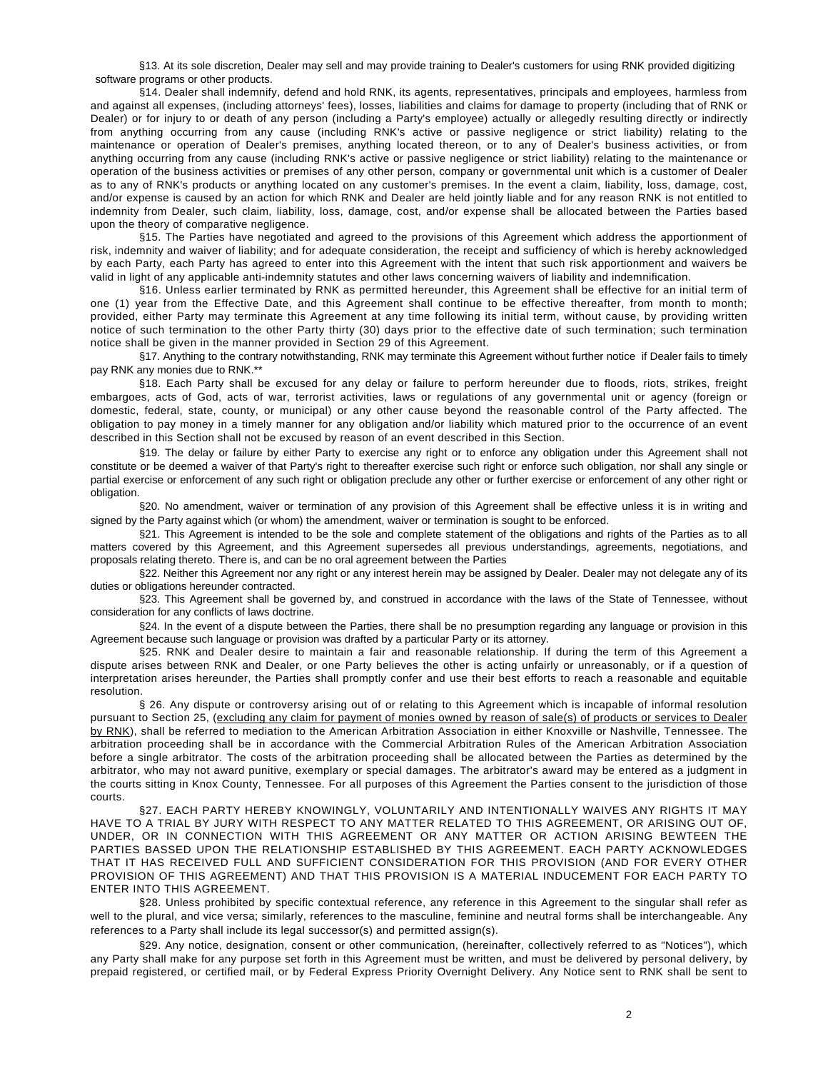§13. At its sole discretion, Dealer may sell and may provide training to Dealer's customers for using RNK provided digitizing software programs or other products.

 §14. Dealer shall indemnify, defend and hold RNK, its agents, representatives, principals and employees, harmless from and against all expenses, (including attorneys' fees), losses, liabilities and claims for damage to property (including that of RNK or Dealer) or for injury to or death of any person (including a Party's employee) actually or allegedly resulting directly or indirectly from anything occurring from any cause (including RNK's active or passive negligence or strict liability) relating to the maintenance or operation of Dealer's premises, anything located thereon, or to any of Dealer's business activities, or from anything occurring from any cause (including RNK's active or passive negligence or strict liability) relating to the maintenance or operation of the business activities or premises of any other person, company or governmental unit which is a customer of Dealer as to any of RNK's products or anything located on any customer's premises. In the event a claim, liability, loss, damage, cost, and/or expense is caused by an action for which RNK and Dealer are held jointly liable and for any reason RNK is not entitled to indemnity from Dealer, such claim, liability, loss, damage, cost, and/or expense shall be allocated between the Parties based upon the theory of comparative negligence.

§15. The Parties have negotiated and agreed to the provisions of this Agreement which address the apportionment of risk, indemnity and waiver of liability; and for adequate consideration, the receipt and sufficiency of which is hereby acknowledged by each Party, each Party has agreed to enter into this Agreement with the intent that such risk apportionment and waivers be valid in light of any applicable anti-indemnity statutes and other laws concerning waivers of liability and indemnification.

 §16. Unless earlier terminated by RNK as permitted hereunder, this Agreement shall be effective for an initial term of one (1) year from the Effective Date, and this Agreement shall continue to be effective thereafter, from month to month; provided, either Party may terminate this Agreement at any time following its initial term, without cause, by providing written notice of such termination to the other Party thirty (30) days prior to the effective date of such termination; such termination notice shall be given in the manner provided in Section 29 of this Agreement.

 §17. Anything to the contrary notwithstanding, RNK may terminate this Agreement without further notice if Dealer fails to timely pay RNK any monies due to RNK.\*\*

§18. Each Party shall be excused for any delay or failure to perform hereunder due to floods, riots, strikes, freight embargoes, acts of God, acts of war, terrorist activities, laws or regulations of any governmental unit or agency (foreign or domestic, federal, state, county, or municipal) or any other cause beyond the reasonable control of the Party affected. The obligation to pay money in a timely manner for any obligation and/or liability which matured prior to the occurrence of an event described in this Section shall not be excused by reason of an event described in this Section.

§19. The delay or failure by either Party to exercise any right or to enforce any obligation under this Agreement shall not constitute or be deemed a waiver of that Party's right to thereafter exercise such right or enforce such obligation, nor shall any single or partial exercise or enforcement of any such right or obligation preclude any other or further exercise or enforcement of any other right or obligation.

§20. No amendment, waiver or termination of any provision of this Agreement shall be effective unless it is in writing and signed by the Party against which (or whom) the amendment, waiver or termination is sought to be enforced.

§21. This Agreement is intended to be the sole and complete statement of the obligations and rights of the Parties as to all matters covered by this Agreement, and this Agreement supersedes all previous understandings, agreements, negotiations, and proposals relating thereto. There is, and can be no oral agreement between the Parties

§22. Neither this Agreement nor any right or any interest herein may be assigned by Dealer. Dealer may not delegate any of its duties or obligations hereunder contracted.

§23. This Agreement shall be governed by, and construed in accordance with the laws of the State of Tennessee, without consideration for any conflicts of laws doctrine.

§24. In the event of a dispute between the Parties, there shall be no presumption regarding any language or provision in this Agreement because such language or provision was drafted by a particular Party or its attorney.

§25. RNK and Dealer desire to maintain a fair and reasonable relationship. If during the term of this Agreement a dispute arises between RNK and Dealer, or one Party believes the other is acting unfairly or unreasonably, or if a question of interpretation arises hereunder, the Parties shall promptly confer and use their best efforts to reach a reasonable and equitable resolution.

§ 26. Any dispute or controversy arising out of or relating to this Agreement which is incapable of informal resolution pursuant to Section 25, (excluding any claim for payment of monies owned by reason of sale(s) of products or services to Dealer by RNK), shall be referred to mediation to the American Arbitration Association in either Knoxville or Nashville, Tennessee. The arbitration proceeding shall be in accordance with the Commercial Arbitration Rules of the American Arbitration Association before a single arbitrator. The costs of the arbitration proceeding shall be allocated between the Parties as determined by the arbitrator, who may not award punitive, exemplary or special damages. The arbitrator's award may be entered as a judgment in the courts sitting in Knox County, Tennessee. For all purposes of this Agreement the Parties consent to the jurisdiction of those courts.

§27. EACH PARTY HEREBY KNOWINGLY, VOLUNTARILY AND INTENTIONALLY WAIVES ANY RIGHTS IT MAY HAVE TO A TRIAL BY JURY WITH RESPECT TO ANY MATTER RELATED TO THIS AGREEMENT, OR ARISING OUT OF, UNDER, OR IN CONNECTION WITH THIS AGREEMENT OR ANY MATTER OR ACTION ARISING BEWTEEN THE PARTIES BASSED UPON THE RELATIONSHIP ESTABLISHED BY THIS AGREEMENT. EACH PARTY ACKNOWLEDGES THAT IT HAS RECEIVED FULL AND SUFFICIENT CONSIDERATION FOR THIS PROVISION (AND FOR EVERY OTHER PROVISION OF THIS AGREEMENT) AND THAT THIS PROVISION IS A MATERIAL INDUCEMENT FOR EACH PARTY TO ENTER INTO THIS AGREEMENT.

§28. Unless prohibited by specific contextual reference, any reference in this Agreement to the singular shall refer as well to the plural, and vice versa; similarly, references to the masculine, feminine and neutral forms shall be interchangeable. Any references to a Party shall include its legal successor(s) and permitted assign(s).

§29. Any notice, designation, consent or other communication, (hereinafter, collectively referred to as "Notices"), which any Party shall make for any purpose set forth in this Agreement must be written, and must be delivered by personal delivery, by prepaid registered, or certified mail, or by Federal Express Priority Overnight Delivery. Any Notice sent to RNK shall be sent to